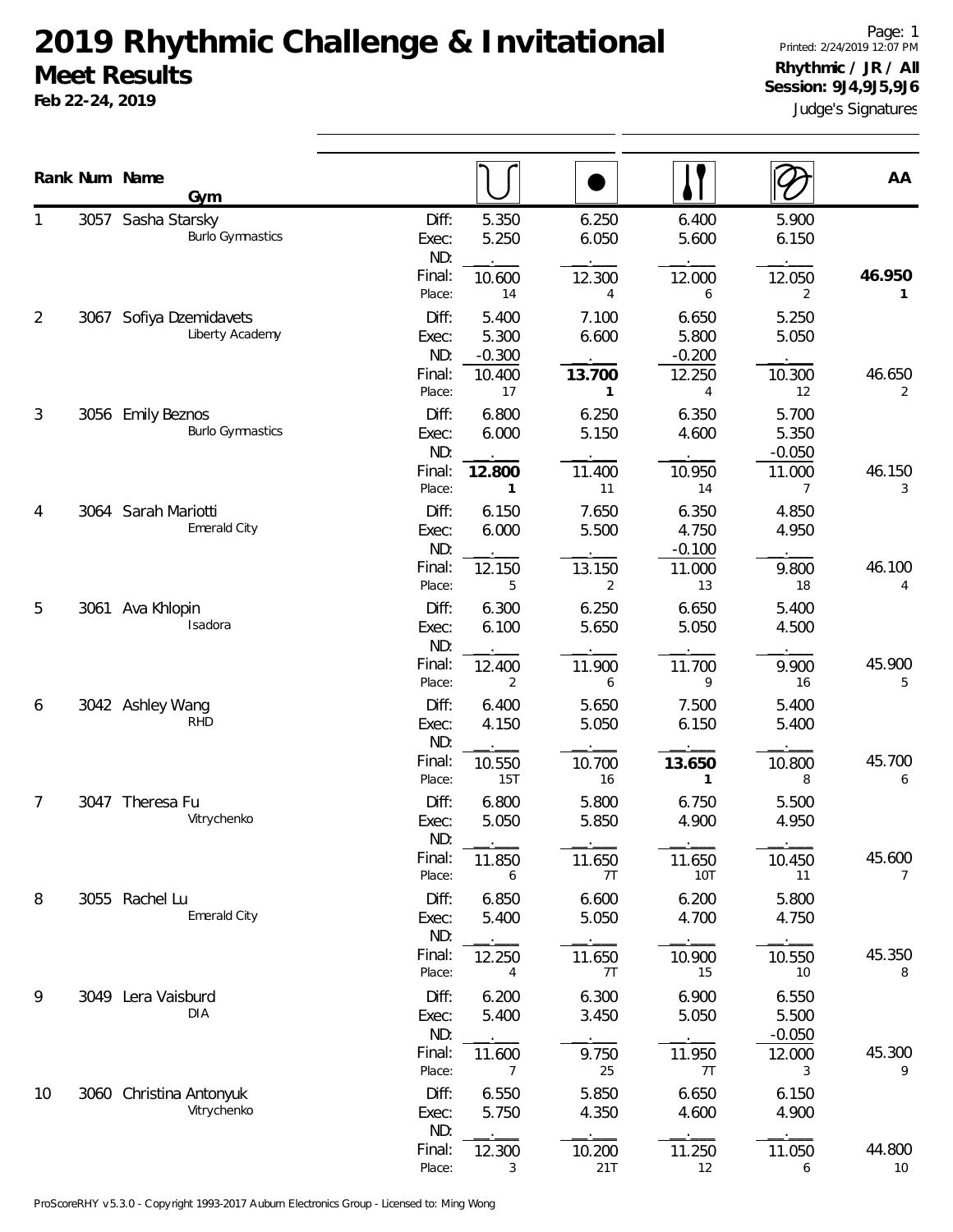**Feb 22-24, 2019**

Judge's Signatures Page: 1 Printed: 2/24/2019 12:07 PM **Rhythmic / JR / All Session: 9J4,9J5,9J6**

|                | Rank Num Name<br>Gym                          |                                           |                                          |                                          |                                            |                                            | AA                       |
|----------------|-----------------------------------------------|-------------------------------------------|------------------------------------------|------------------------------------------|--------------------------------------------|--------------------------------------------|--------------------------|
|                | 3057 Sasha Starsky<br><b>Burlo Gymnastics</b> | Diff:<br>Exec:<br>ND:<br>Final:<br>Place: | 5.350<br>5.250<br>10.600<br>14           | 6.250<br>6.050<br>12.300<br>4            | 6.400<br>5.600<br>12.000<br>6              | 5.900<br>6.150<br>12.050                   | 46.950<br>1              |
| $\overline{2}$ | 3067 Sofiya Dzemidavets<br>Liberty Academy    | Diff:<br>Exec:<br>ND:<br>Final:           | 5.400<br>5.300<br>$-0.300$<br>10.400     | 7.100<br>6.600<br>13.700                 | 6.650<br>5.800<br>$-0.200$<br>12.250       | 2<br>5.250<br>5.050<br>10.300              | 46.650                   |
| 3              | 3056 Emily Beznos<br><b>Burlo Gymnastics</b>  | Place:<br>Diff:<br>Exec:<br>ND:<br>Final: | 17<br>6.800<br>6.000<br>12.800           | $\mathbf{1}$<br>6.250<br>5.150<br>11.400 | 4<br>6.350<br>4.600<br>10.950              | 12<br>5.700<br>5.350<br>$-0.050$<br>11.000 | 2<br>46.150              |
| 4              | 3064 Sarah Mariotti<br>Emerald City           | Place:<br>Diff:<br>Exec:<br>ND:<br>Final: | $\mathbf{1}$<br>6.150<br>6.000<br>12.150 | 11<br>7.650<br>5.500<br>13.150           | 14<br>6.350<br>4.750<br>$-0.100$<br>11.000 | 7<br>4.850<br>4.950<br>9.800               | 3<br>46.100              |
| 5              | 3061 Ava Khlopin<br>Isadora                   | Place:<br>Diff:<br>Exec:<br>ND:           | 5<br>6.300<br>6.100                      | $\overline{2}$<br>6.250<br>5.650         | 13<br>6.650<br>5.050                       | 18<br>5.400<br>4.500                       | 4                        |
| 6              | 3042 Ashley Wang<br><b>RHD</b>                | Final:<br>Place:<br>Diff:<br>Exec:<br>ND: | 12.400<br>2<br>6.400<br>4.150            | 11.900<br>6<br>5.650<br>5.050            | 11.700<br>9<br>7.500<br>6.150              | 9.900<br>16<br>5.400<br>5.400              | 45.900<br>5              |
| 7              | 3047 Theresa Fu<br>Vitrychenko                | Final:<br>Place:<br>Diff:<br>Exec:        | 10.550<br>15T<br>6.800<br>5.050          | 10.700<br>16<br>5.800<br>5.850           | 13.650<br>1<br>6.750<br>4.900              | 10.800<br>8<br>5.500<br>4.950              | 45.700<br>6              |
| 8              | 3055 Rachel Lu<br>Emerald City                | ND:<br>Final:<br>Place:<br>Diff:<br>Exec: | 11.850<br>6<br>6.850<br>5.400            | 11.650<br>7T<br>6.600<br>5.050           | 11.650<br>10T<br>6.200<br>4.700            | 10.450<br>11<br>5.800<br>4.750             | 45.600<br>$\overline{7}$ |
|                | 3049 Lera Vaisburd                            | ND:<br>Final:<br>Place:<br>Diff:          | 12.250<br>4<br>6.200                     | 11.650<br>7T                             | 10.900<br>15                               | 10.550<br>10                               | 45.350<br>8              |
| 9              | <b>DIA</b>                                    | Exec:<br>ND:<br>Final:<br>Place:          | 5.400<br>11.600<br>7                     | 6.300<br>3.450<br>9.750<br>25            | 6.900<br>5.050<br>11.950<br>7T             | 6.550<br>5.500<br>$-0.050$<br>12.000<br>3  | 45.300<br>9              |
| 10             | 3060 Christina Antonyuk<br>Vitrychenko        | Diff:<br>Exec:<br>ND:                     | 6.550<br>5.750                           | 5.850<br>4.350                           | 6.650<br>4.600                             | 6.150<br>4.900                             |                          |
|                |                                               | Final:<br>Place:                          | 12.300<br>3                              | 10.200<br>21T                            | 11.250<br>12                               | 11.050<br>6                                | 44.800<br>10             |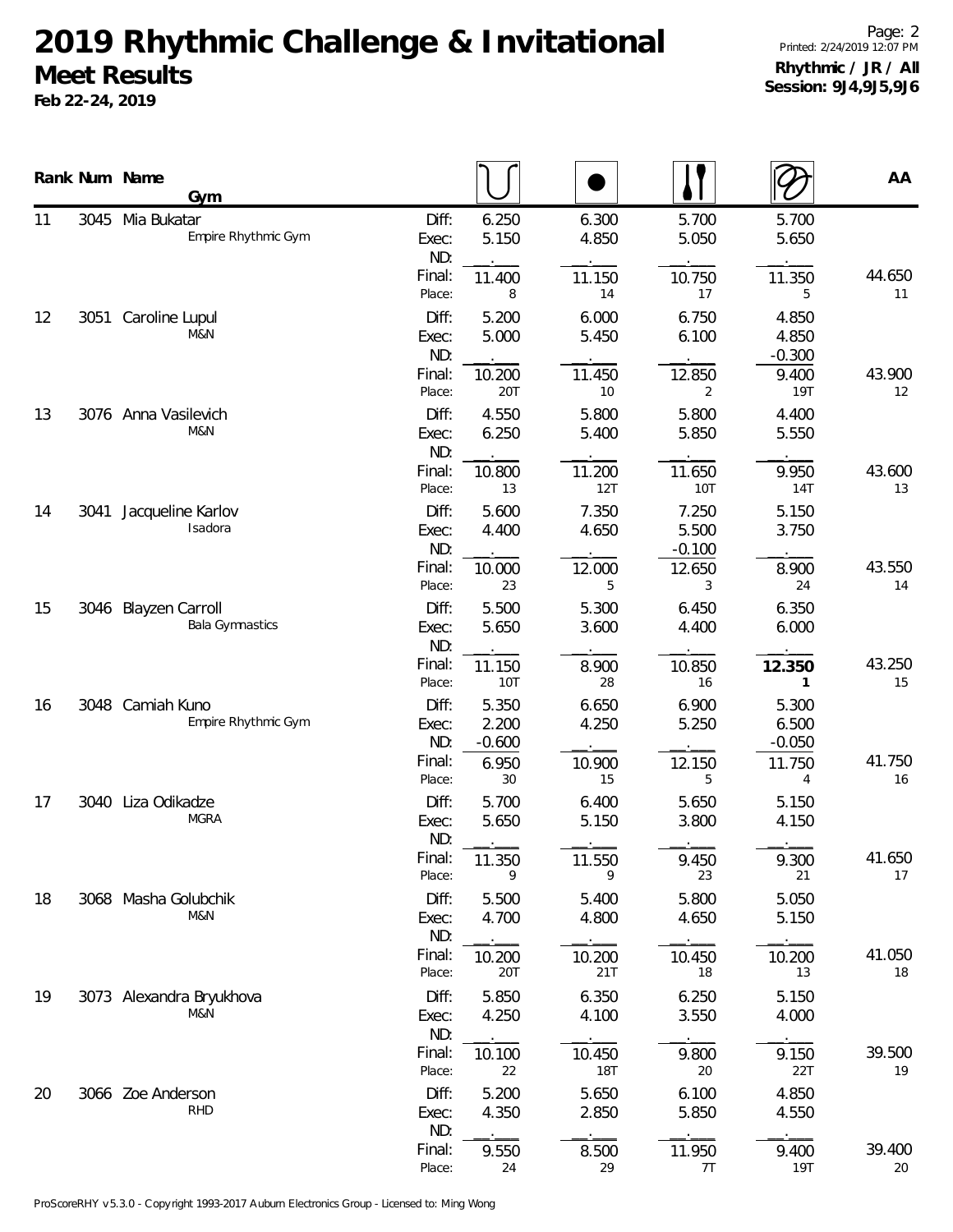**Feb 22-24, 2019**

|    |      | Rank Num Name<br>Gym                           |                       |                            |                      |                            |                            | AA           |
|----|------|------------------------------------------------|-----------------------|----------------------------|----------------------|----------------------------|----------------------------|--------------|
| 11 |      | 3045 Mia Bukatar<br>Empire Rhythmic Gym        | Diff:<br>Exec:<br>ND: | 6.250<br>5.150             | 6.300<br>4.850       | 5.700<br>5.050             | 5.700<br>5.650             |              |
|    |      |                                                | Final:<br>Place:      | 11.400<br>8                | 11.150<br>14         | 10.750<br>17               | 11.350<br>5                | 44.650<br>11 |
| 12 | 3051 | Caroline Lupul<br>M&N                          | Diff:<br>Exec:<br>ND: | 5.200<br>5.000             | 6.000<br>5.450       | 6.750<br>6.100             | 4.850<br>4.850<br>$-0.300$ |              |
|    |      |                                                | Final:<br>Place:      | 10.200<br>20T              | 11.450<br>10         | 12.850<br>2                | 9.400<br><b>19T</b>        | 43.900<br>12 |
| 13 |      | 3076 Anna Vasilevich<br>M&N                    | Diff:<br>Exec:<br>ND: | 4.550<br>6.250             | 5.800<br>5.400       | 5.800<br>5.850             | 4.400<br>5.550             |              |
|    |      |                                                | Final:<br>Place:      | 10.800<br>13               | 11.200<br>12T        | 11.650<br>10T              | 9.950<br>14T               | 43.600<br>13 |
| 14 | 3041 | Jacqueline Karlov<br>Isadora                   | Diff:<br>Exec:<br>ND: | 5.600<br>4.400             | 7.350<br>4.650       | 7.250<br>5.500<br>$-0.100$ | 5.150<br>3.750             |              |
|    |      |                                                | Final:<br>Place:      | 10.000<br>23               | 12.000<br>5          | 12.650<br>3                | 8.900<br>24                | 43.550<br>14 |
| 15 |      | 3046 Blayzen Carroll<br><b>Bala Gymnastics</b> | Diff:<br>Exec:<br>ND: | 5.500<br>5.650             | 5.300<br>3.600       | 6.450<br>4.400             | 6.350<br>6.000             |              |
|    |      |                                                | Final:<br>Place:      | 11.150<br>10T              | 8.900<br>28          | 10.850<br>16               | 12.350<br>1                | 43.250<br>15 |
| 16 |      | 3048 Camiah Kuno<br>Empire Rhythmic Gym        | Diff:<br>Exec:<br>ND: | 5.350<br>2.200<br>$-0.600$ | 6.650<br>4.250       | 6.900<br>5.250             | 5.300<br>6.500<br>$-0.050$ |              |
|    |      |                                                | Final:<br>Place:      | 6.950<br>30                | 10.900<br>15         | 12.150<br>5                | 11.750<br>4                | 41.750<br>16 |
| 17 |      | 3040 Liza Odikadze<br><b>MGRA</b>              | Diff:<br>Exec:<br>ND: | 5.700<br>5.650             | 6.400<br>5.150       | 5.650<br>3.800             | 5.150<br>4.150             |              |
|    |      |                                                | Final:<br>Place:      | 11.350<br>9                | 11.550<br>9          | 9.450<br>23                | 9.300<br>21                | 41.650<br>17 |
| 18 |      | 3068 Masha Golubchik<br>M&N                    | Diff:<br>Exec:<br>ND: | 5.500<br>4.700             | 5.400<br>4.800       | 5.800<br>4.650             | 5.050<br>5.150             |              |
|    |      |                                                | Final:<br>Place:      | 10.200<br>20T              | 10.200<br>21T        | 10.450<br>18               | 10.200<br>13               | 41.050<br>18 |
| 19 |      | 3073 Alexandra Bryukhova<br>M&N                | Diff:<br>Exec:<br>ND: | 5.850<br>4.250             | 6.350<br>4.100       | 6.250<br>3.550             | 5.150<br>4.000             |              |
|    |      |                                                | Final:<br>Place:      | 10.100<br>22               | 10.450<br><b>18T</b> | 9.800<br>20                | 9.150<br>22T               | 39.500<br>19 |
| 20 |      | 3066 Zoe Anderson<br><b>RHD</b>                | Diff:<br>Exec:<br>ND: | 5.200<br>4.350             | 5.650<br>2.850       | 6.100<br>5.850             | 4.850<br>4.550             |              |
|    |      |                                                | Final:<br>Place:      | 9.550<br>24                | 8.500<br>29          | 11.950<br>7T               | 9.400<br>19T               | 39.400<br>20 |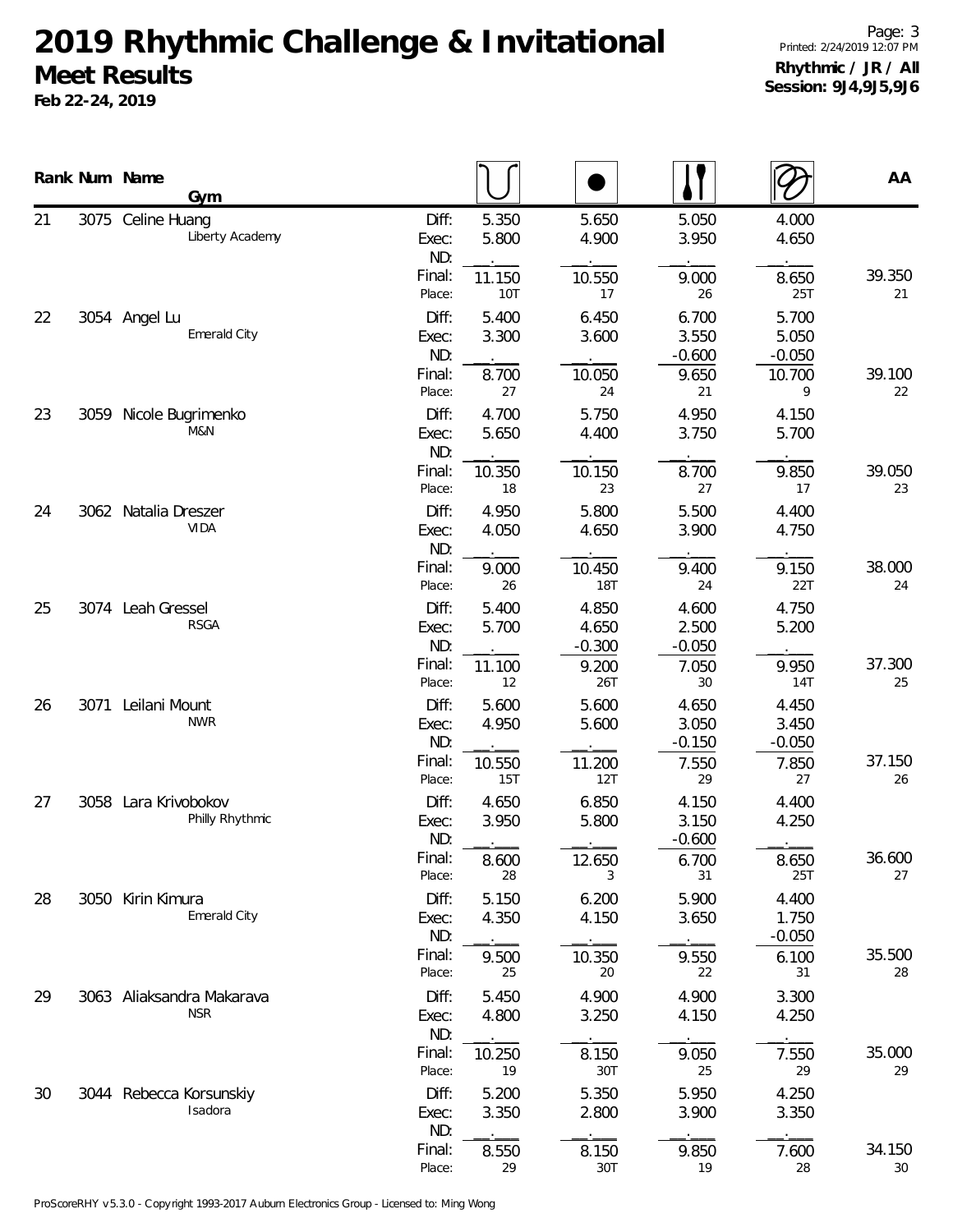**Feb 22-24, 2019**

|    |      | Rank Num Name<br>Gym                    |                       |                      |                            |                            |                            | AA           |
|----|------|-----------------------------------------|-----------------------|----------------------|----------------------------|----------------------------|----------------------------|--------------|
| 21 |      | 3075 Celine Huang<br>Liberty Academy    | Diff:<br>Exec:<br>ND: | 5.350<br>5.800       | 5.650<br>4.900             | 5.050<br>3.950             | 4.000<br>4.650             |              |
|    |      |                                         | Final:<br>Place:      | 11.150<br><b>10T</b> | 10.550<br>17               | 9.000<br>26                | 8.650<br>25T               | 39.350<br>21 |
| 22 |      | 3054 Angel Lu<br>Emerald City           | Diff:<br>Exec:<br>ND: | 5.400<br>3.300       | 6.450<br>3.600             | 6.700<br>3.550<br>$-0.600$ | 5.700<br>5.050<br>$-0.050$ |              |
|    |      |                                         | Final:<br>Place:      | 8.700<br>27          | 10.050<br>24               | 9.650<br>21                | 10.700<br>9                | 39.100<br>22 |
| 23 |      | 3059 Nicole Bugrimenko<br>M&N           | Diff:<br>Exec:<br>ND: | 4.700<br>5.650       | 5.750<br>4.400             | 4.950<br>3.750             | 4.150<br>5.700             |              |
|    |      |                                         | Final:<br>Place:      | 10.350<br>18         | 10.150<br>23               | 8.700<br>27                | 9.850<br>17                | 39.050<br>23 |
| 24 |      | 3062 Natalia Dreszer<br><b>VIDA</b>     | Diff:<br>Exec:<br>ND: | 4.950<br>4.050       | 5.800<br>4.650             | 5.500<br>3.900             | 4.400<br>4.750             |              |
|    |      |                                         | Final:<br>Place:      | 9.000<br>26          | 10.450<br>18T              | 9.400<br>24                | 9.150<br>22T               | 38.000<br>24 |
| 25 |      | 3074 Leah Gressel<br><b>RSGA</b>        | Diff:<br>Exec:<br>ND: | 5.400<br>5.700       | 4.850<br>4.650<br>$-0.300$ | 4.600<br>2.500<br>$-0.050$ | 4.750<br>5.200             |              |
|    |      |                                         | Final:<br>Place:      | 11.100<br>12         | 9.200<br>26T               | 7.050<br>30                | 9.950<br>14T               | 37.300<br>25 |
| 26 | 3071 | Leilani Mount<br><b>NWR</b>             | Diff:<br>Exec:<br>ND: | 5.600<br>4.950       | 5.600<br>5.600             | 4.650<br>3.050<br>$-0.150$ | 4.450<br>3.450<br>$-0.050$ |              |
|    |      |                                         | Final:<br>Place:      | 10.550<br><b>15T</b> | 11.200<br>12T              | 7.550<br>29                | 7.850<br>27                | 37.150<br>26 |
| 27 |      | 3058 Lara Krivobokov<br>Philly Rhythmic | Diff:<br>Exec:<br>ND: | 4.650<br>3.950       | 6.850<br>5.800             | 4.150<br>3.150<br>$-0.600$ | 4.400<br>4.250             |              |
|    |      |                                         | Final:<br>Place:      | 8.600<br>28          | 12.650<br>3                | 6.700<br>31                | 8.650<br>25T               | 36.600<br>27 |
| 28 |      | 3050 Kirin Kimura<br>Emerald City       | Diff:<br>Exec:<br>ND: | 5.150<br>4.350       | 6.200<br>4.150             | 5.900<br>3.650             | 4.400<br>1.750<br>$-0.050$ |              |
|    |      |                                         | Final:<br>Place:      | 9.500<br>25          | 10.350<br>20               | 9.550<br>22                | 6.100<br>31                | 35.500<br>28 |
| 29 |      | 3063 Aliaksandra Makarava<br><b>NSR</b> | Diff:<br>Exec:<br>ND: | 5.450<br>4.800       | 4.900<br>3.250             | 4.900<br>4.150             | 3.300<br>4.250             |              |
|    |      |                                         | Final:<br>Place:      | 10.250<br>19         | 8.150<br>30T               | 9.050<br>25                | 7.550<br>29                | 35.000<br>29 |
| 30 |      | 3044 Rebecca Korsunskiy<br>Isadora      | Diff:<br>Exec:<br>ND: | 5.200<br>3.350       | 5.350<br>2.800             | 5.950<br>3.900             | 4.250<br>3.350             |              |
|    |      |                                         | Final:<br>Place:      | 8.550<br>29          | 8.150<br>30T               | 9.850<br>19                | 7.600<br>28                | 34.150<br>30 |